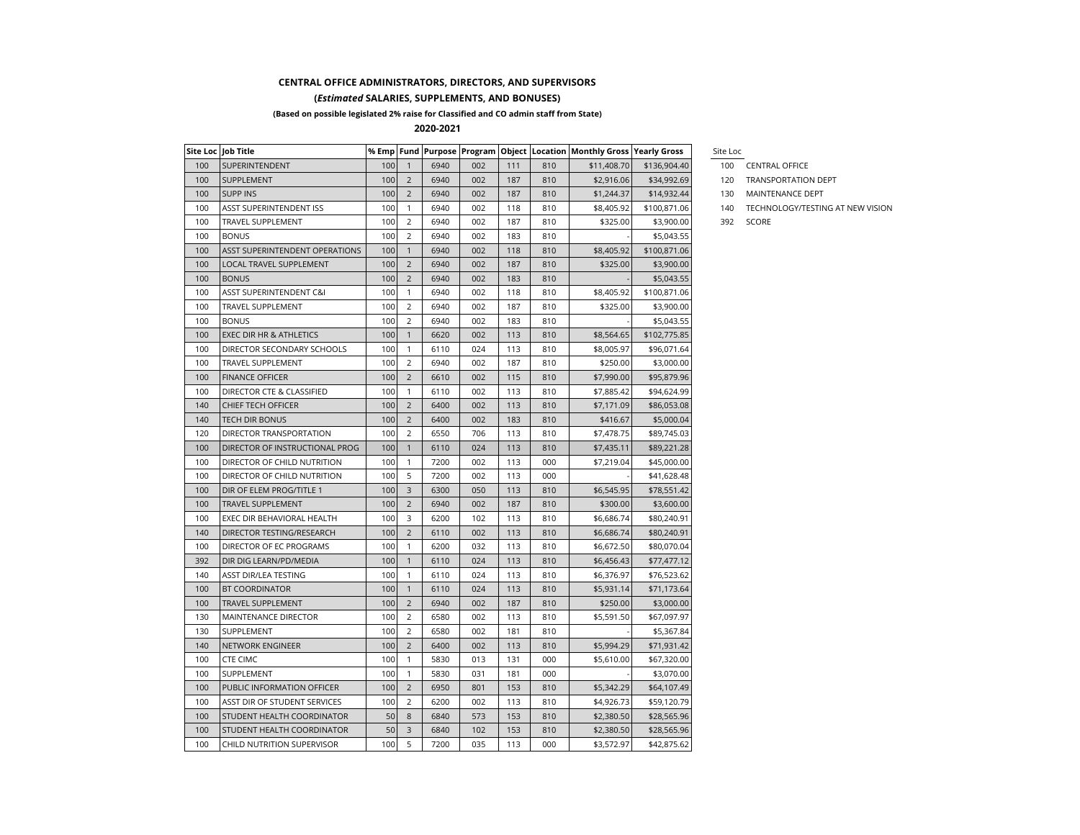## **CENTRAL OFFICE ADMINISTRATORS, DIRECTORS, AND SUPERVISORS**

## **(***Estimated* **SALARIES, SUPPLEMENTS, AND BONUSES)**

**(Based on possible legislated 2% raise for Classified and CO admin staff from State)**

**2020-2021**

|     | Site Loc   Job Title           |     |                |      |     |     |     | % Emp   Fund   Purpose   Program   Object   Location   Monthly Gross   Yearly Gross |              | Site Loc |               |
|-----|--------------------------------|-----|----------------|------|-----|-----|-----|-------------------------------------------------------------------------------------|--------------|----------|---------------|
| 100 | SUPERINTENDENT                 | 100 | $\overline{1}$ | 6940 | 002 | 111 | 810 | \$11,408.70                                                                         | \$136,904.40 | 100      | <b>CENTRA</b> |
| 100 | SUPPLEMENT                     | 100 | 2              | 6940 | 002 | 187 | 810 | \$2,916.06                                                                          | \$34,992.69  | 120      | <b>TRANSP</b> |
| 100 | <b>SUPP INS</b>                | 100 | $\overline{2}$ | 6940 | 002 | 187 | 810 | \$1,244.37                                                                          | \$14,932.44  | 130      | <b>MAINTE</b> |
| 100 | ASST SUPERINTENDENT ISS        | 100 | $\mathbf{1}$   | 6940 | 002 | 118 | 810 | \$8,405.92                                                                          | \$100,871.06 | 140      | <b>TECHNC</b> |
| 100 | TRAVEL SUPPLEMENT              | 100 | $\overline{2}$ | 6940 | 002 | 187 | 810 | \$325.00                                                                            | \$3,900.00   | 392      | SCORE         |
| 100 | <b>BONUS</b>                   | 100 | 2              | 6940 | 002 | 183 | 810 |                                                                                     | \$5,043.55   |          |               |
| 100 | ASST SUPERINTENDENT OPERATIONS | 100 | $\mathbf{1}$   | 6940 | 002 | 118 | 810 | \$8,405.92                                                                          | \$100,871.06 |          |               |
| 100 | LOCAL TRAVEL SUPPLEMENT        | 100 | $\overline{2}$ | 6940 | 002 | 187 | 810 | \$325.00                                                                            | \$3,900.00   |          |               |
| 100 | <b>BONUS</b>                   | 100 | $\overline{2}$ | 6940 | 002 | 183 | 810 |                                                                                     | \$5,043.55   |          |               |
| 100 | ASST SUPERINTENDENT C&I        | 100 | $\mathbf{1}$   | 6940 | 002 | 118 | 810 | \$8,405.92                                                                          | \$100,871.06 |          |               |
| 100 | TRAVEL SUPPLEMENT              | 100 | 2              | 6940 | 002 | 187 | 810 | \$325.00                                                                            | \$3,900.00   |          |               |
| 100 | <b>BONUS</b>                   | 100 | $\overline{2}$ | 6940 | 002 | 183 | 810 |                                                                                     | \$5,043.55   |          |               |
| 100 | EXEC DIR HR & ATHLETICS        | 100 | $\mathbf{1}$   | 6620 | 002 | 113 | 810 | \$8,564.65                                                                          | \$102,775.85 |          |               |
| 100 | DIRECTOR SECONDARY SCHOOLS     | 100 | $\mathbf{1}$   | 6110 | 024 | 113 | 810 | \$8,005.97                                                                          | \$96,071.64  |          |               |
| 100 | TRAVEL SUPPLEMENT              | 100 | 2              | 6940 | 002 | 187 | 810 | \$250.00                                                                            | \$3,000.00   |          |               |
| 100 | <b>FINANCE OFFICER</b>         | 100 | $\overline{2}$ | 6610 | 002 | 115 | 810 | \$7,990.00                                                                          | \$95,879.96  |          |               |
| 100 | DIRECTOR CTE & CLASSIFIED      | 100 | $\mathbf{1}$   | 6110 | 002 | 113 | 810 | \$7,885.42                                                                          | \$94,624.99  |          |               |
| 140 | CHIEF TECH OFFICER             | 100 | 2              | 6400 | 002 | 113 | 810 | \$7,171.09                                                                          | \$86,053.08  |          |               |
| 140 | TECH DIR BONUS                 | 100 | $\overline{2}$ | 6400 | 002 | 183 | 810 | \$416.67                                                                            | \$5,000.04   |          |               |
| 120 | DIRECTOR TRANSPORTATION        | 100 | $\overline{2}$ | 6550 | 706 | 113 | 810 | \$7,478.75                                                                          | \$89,745.03  |          |               |
| 100 | DIRECTOR OF INSTRUCTIONAL PROG | 100 | $\mathbf{1}$   | 6110 | 024 | 113 | 810 | \$7,435.11                                                                          | \$89,221.28  |          |               |
| 100 | DIRECTOR OF CHILD NUTRITION    | 100 | $\mathbf{1}$   | 7200 | 002 | 113 | 000 | \$7,219.04                                                                          | \$45,000.00  |          |               |
| 100 | DIRECTOR OF CHILD NUTRITION    | 100 | 5              | 7200 | 002 | 113 | 000 |                                                                                     | \$41,628.48  |          |               |
| 100 | DIR OF ELEM PROG/TITLE 1       | 100 | 3              | 6300 | 050 | 113 | 810 | \$6,545.95                                                                          | \$78,551.42  |          |               |
| 100 | TRAVEL SUPPLEMENT              | 100 | 2              | 6940 | 002 | 187 | 810 | \$300.00                                                                            | \$3,600.00   |          |               |
| 100 | EXEC DIR BEHAVIORAL HEALTH     | 100 | 3              | 6200 | 102 | 113 | 810 | \$6,686.74                                                                          | \$80,240.91  |          |               |
| 140 | DIRECTOR TESTING/RESEARCH      | 100 | $\overline{2}$ | 6110 | 002 | 113 | 810 | \$6,686.74                                                                          | \$80,240.91  |          |               |
| 100 | DIRECTOR OF EC PROGRAMS        | 100 | $\mathbf{1}$   | 6200 | 032 | 113 | 810 | \$6,672.50                                                                          | \$80,070.04  |          |               |
| 392 | DIR DIG LEARN/PD/MEDIA         | 100 | $\mathbf{1}$   | 6110 | 024 | 113 | 810 | \$6,456.43                                                                          | \$77,477.12  |          |               |
| 140 | ASST DIR/LEA TESTING           | 100 | $\mathbf{1}$   | 6110 | 024 | 113 | 810 | \$6,376.97                                                                          | \$76,523.62  |          |               |
| 100 | <b>BT COORDINATOR</b>          | 100 | $\mathbf{1}$   | 6110 | 024 | 113 | 810 | \$5,931.14                                                                          | \$71,173.64  |          |               |
| 100 | TRAVEL SUPPLEMENT              | 100 | $\overline{2}$ | 6940 | 002 | 187 | 810 | \$250.00                                                                            | \$3,000.00   |          |               |
| 130 | MAINTENANCE DIRECTOR           | 100 | $\overline{2}$ | 6580 | 002 | 113 | 810 | \$5,591.50                                                                          | \$67,097.97  |          |               |
| 130 | SUPPLEMENT                     | 100 | 2              | 6580 | 002 | 181 | 810 |                                                                                     | \$5,367.84   |          |               |
| 140 | NETWORK ENGINEER               | 100 | 2              | 6400 | 002 | 113 | 810 | \$5,994.29                                                                          | \$71,931.42  |          |               |
| 100 | <b>CTE CIMC</b>                | 100 | $\mathbf{1}$   | 5830 | 013 | 131 | 000 | \$5,610.00                                                                          | \$67,320.00  |          |               |
| 100 | SUPPLEMENT                     | 100 | $\mathbf{1}$   | 5830 | 031 | 181 | 000 |                                                                                     | \$3,070.00   |          |               |
| 100 | PUBLIC INFORMATION OFFICER     | 100 | $\overline{2}$ | 6950 | 801 | 153 | 810 | \$5,342.29                                                                          | \$64,107.49  |          |               |
| 100 | ASST DIR OF STUDENT SERVICES   | 100 | 2              | 6200 | 002 | 113 | 810 | \$4,926.73                                                                          | \$59,120.79  |          |               |
| 100 | STUDENT HEALTH COORDINATOR     | 50  | 8              | 6840 | 573 | 153 | 810 | \$2,380.50                                                                          | \$28,565.96  |          |               |
| 100 | STUDENT HEALTH COORDINATOR     | 50  | 3              | 6840 | 102 | 153 | 810 | \$2,380.50                                                                          | \$28,565.96  |          |               |
| 100 | CHILD NUTRITION SUPERVISOR     | 100 | 5              | 7200 | 035 | 113 | 000 | \$3,572.97                                                                          | \$42,875.62  |          |               |

- 100 CENTRAL OFFICE
- 120 TRANSPORTATION DEPT
- 130 MAINTENANCE DEPT
- 140 TECHNOLOGY/TESTING AT NEW VISION
-